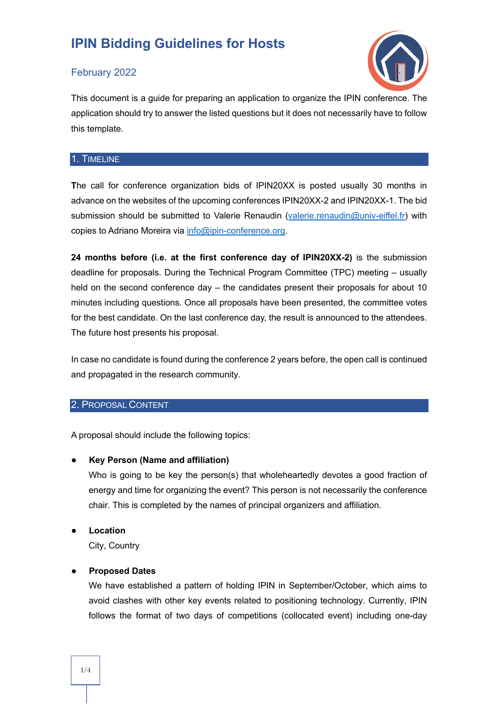### February 2022



This document is a guide for preparing an application to organize the IPIN conference. The application should try to answer the listed questions but it does not necessarily have to follow this template.

#### 1. TIMELINE

**T**he call for conference organization bids of IPIN20XX is posted usually 30 months in advance on the websites of the upcoming conferences IPIN20XX-2 and IPIN20XX-1. The bid submission should be submitted to Valerie Renaudin (valerie.renaudin@univ-eiffel.fr) with copies to Adriano Moreira via info@ipin-conference.org.

**24 months before (i.e. at the first conference day of IPIN20XX-2)** is the submission deadline for proposals. During the Technical Program Committee (TPC) meeting – usually held on the second conference day – the candidates present their proposals for about 10 minutes including questions. Once all proposals have been presented, the committee votes for the best candidate. On the last conference day, the result is announced to the attendees. The future host presents his proposal.

In case no candidate is found during the conference 2 years before, the open call is continued and propagated in the research community.

#### 2. PROPOSAL CONTENT

A proposal should include the following topics:

● **Key Person (Name and affiliation)**

Who is going to be key the person(s) that wholeheartedly devotes a good fraction of energy and time for organizing the event? This person is not necessarily the conference chair. This is completed by the names of principal organizers and affiliation.

**Location** City, Country

#### ● **Proposed Dates**

We have established a pattern of holding IPIN in September/October, which aims to avoid clashes with other key events related to positioning technology. Currently, IPIN follows the format of two days of competitions (collocated event) including one-day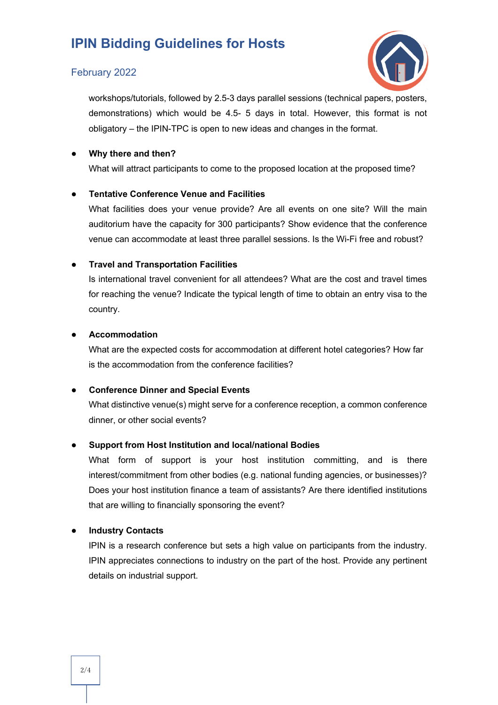#### February 2022



workshops/tutorials, followed by 2.5-3 days parallel sessions (technical papers, posters, demonstrations) which would be 4.5- 5 days in total. However, this format is not obligatory – the IPIN-TPC is open to new ideas and changes in the format.

#### ● **Why there and then?**

What will attract participants to come to the proposed location at the proposed time?

#### **Tentative Conference Venue and Facilities**

What facilities does your venue provide? Are all events on one site? Will the main auditorium have the capacity for 300 participants? Show evidence that the conference venue can accommodate at least three parallel sessions. Is the Wi-Fi free and robust?

#### ● **Travel and Transportation Facilities**

Is international travel convenient for all attendees? What are the cost and travel times for reaching the venue? Indicate the typical length of time to obtain an entry visa to the country.

#### ● **Accommodation**

What are the expected costs for accommodation at different hotel categories? How far is the accommodation from the conference facilities?

#### ● **Conference Dinner and Special Events**

What distinctive venue(s) might serve for a conference reception, a common conference dinner, or other social events?

#### ● **Support from Host Institution and local/national Bodies**

What form of support is your host institution committing, and is there interest/commitment from other bodies (e.g. national funding agencies, or businesses)? Does your host institution finance a team of assistants? Are there identified institutions that are willing to financially sponsoring the event?

#### **Industry Contacts**

IPIN is a research conference but sets a high value on participants from the industry. IPIN appreciates connections to industry on the part of the host. Provide any pertinent details on industrial support.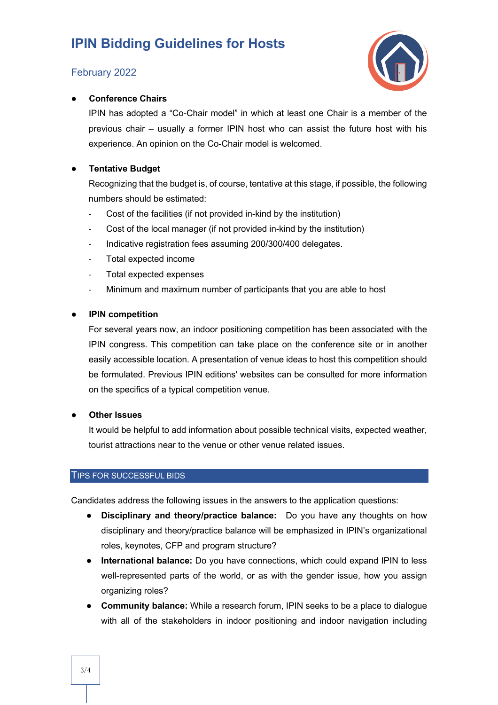### February 2022



#### ● **Conference Chairs**

IPIN has adopted a "Co-Chair model" in which at least one Chair is a member of the previous chair – usually a former IPIN host who can assist the future host with his experience. An opinion on the Co-Chair model is welcomed.

#### **Tentative Budget**

Recognizing that the budget is, of course, tentative at this stage, if possible, the following numbers should be estimated:

- Cost of the facilities (if not provided in-kind by the institution)
- Cost of the local manager (if not provided in-kind by the institution)
- Indicative registration fees assuming 200/300/400 delegates.
- Total expected income
- Total expected expenses
- Minimum and maximum number of participants that you are able to host

#### **IPIN competition**

For several years now, an indoor positioning competition has been associated with the IPIN congress. This competition can take place on the conference site or in another easily accessible location. A presentation of venue ideas to host this competition should be formulated. Previous IPIN editions' websites can be consulted for more information on the specifics of a typical competition venue.

#### ● **Other Issues**

It would be helpful to add information about possible technical visits, expected weather, tourist attractions near to the venue or other venue related issues.

#### TIPS FOR SUCCESSFUL BIDS

Candidates address the following issues in the answers to the application questions:

- **Disciplinary and theory/practice balance:** Do you have any thoughts on how disciplinary and theory/practice balance will be emphasized in IPIN's organizational roles, keynotes, CFP and program structure?
- **International balance:** Do you have connections, which could expand IPIN to less well-represented parts of the world, or as with the gender issue, how you assign organizing roles?
- **Community balance:** While a research forum, IPIN seeks to be a place to dialogue with all of the stakeholders in indoor positioning and indoor navigation including